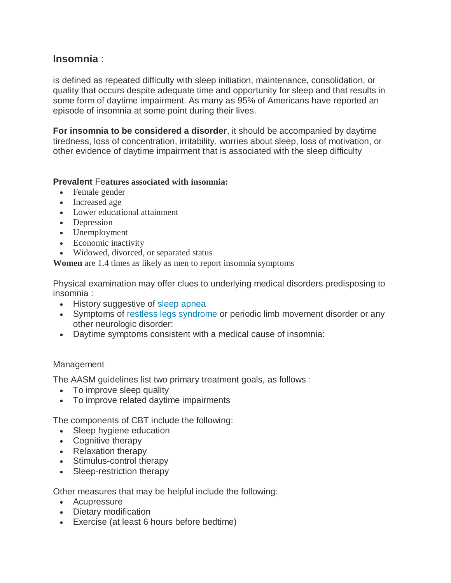# **Insomnia** :

is defined as repeated difficulty with sleep initiation, maintenance, consolidation, or quality that occurs despite adequate time and opportunity for sleep and that results in some form of daytime impairment. As many as 95% of Americans have reported an episode of insomnia at some point during their lives.

**For insomnia to be considered a disorder**, it should be accompanied by daytime tiredness, loss of concentration, irritability, worries about sleep, loss of motivation, or other evidence of daytime impairment that is associated with the sleep difficulty

# **Prevalent** Fe**atures associated with insomnia:**

- Female gender
- Increased age
- Lower educational attainment
- Depression
- Unemployment
- Economic inactivity
- Widowed, divorced, or separated status

**Women** are 1.4 times as likely as men to report insomnia symptoms

Physical examination may offer clues to underlying medical disorders predisposing to insomnia :

- History suggestive of [sleep apnea](http://emedicine.medscape.com/article/295807-overview)
- Symptoms of [restless legs syndrome](http://emedicine.medscape.com/article/1188327-overview) or periodic limb movement disorder or any other neurologic disorder:
- Daytime symptoms consistent with a medical cause of insomnia:

# **Management**

The AASM guidelines list two primary treatment goals, as follows :

- To improve sleep quality
- To improve related daytime impairments

The components of CBT include the following:

- Sleep hygiene education
- Cognitive therapy
- Relaxation therapy
- Stimulus-control therapy
- Sleep-restriction therapy

# Other measures that may be helpful include the following:

- Acupressure
- Dietary modification
- Exercise (at least 6 hours before bedtime)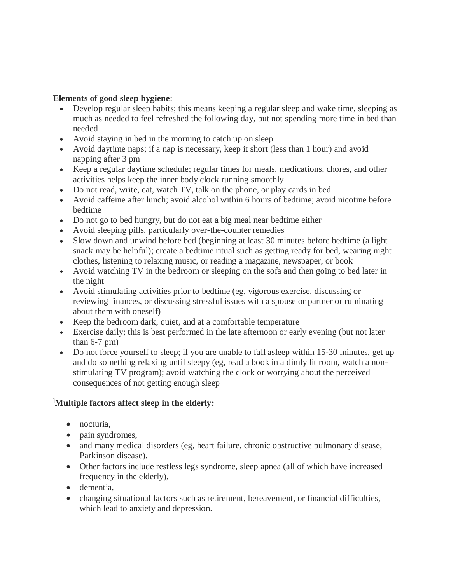# **Elements of good sleep hygiene**:

- Develop regular sleep habits; this means keeping a regular sleep and wake time, sleeping as much as needed to feel refreshed the following day, but not spending more time in bed than needed
- Avoid staying in bed in the morning to catch up on sleep
- Avoid daytime naps; if a nap is necessary, keep it short (less than 1 hour) and avoid napping after 3 pm
- Keep a regular daytime schedule; regular times for meals, medications, chores, and other activities helps keep the inner body clock running smoothly
- Do not read, write, eat, watch TV, talk on the phone, or play cards in bed
- Avoid caffeine after lunch; avoid alcohol within 6 hours of bedtime; avoid nicotine before bedtime
- Do not go to bed hungry, but do not eat a big meal near bedtime either
- Avoid sleeping pills, particularly over-the-counter remedies
- Slow down and unwind before bed (beginning at least 30 minutes before bedtime (a light snack may be helpful); create a bedtime ritual such as getting ready for bed, wearing night clothes, listening to relaxing music, or reading a magazine, newspaper, or book
- Avoid watching TV in the bedroom or sleeping on the sofa and then going to bed later in the night
- Avoid stimulating activities prior to bedtime (eg, vigorous exercise, discussing or reviewing finances, or discussing stressful issues with a spouse or partner or ruminating about them with oneself)
- Keep the bedroom dark, quiet, and at a comfortable temperature
- Exercise daily; this is best performed in the late afternoon or early evening (but not later than  $6-7$  pm)
- Do not force yourself to sleep; if you are unable to fall asleep within 15-30 minutes, get up and do something relaxing until sleepy (eg, read a book in a dimly lit room, watch a nonstimulating TV program); avoid watching the clock or worrying about the perceived consequences of not getting enough sleep

# **]Multiple factors affect sleep in the elderly:**

- nocturia.
- pain syndromes,
- and many medical disorders (eg, heart failure, chronic obstructive pulmonary disease, Parkinson disease).
- Other factors include restless legs syndrome, sleep apnea (all of which have increased frequency in the elderly),
- dementia,
- changing situational factors such as retirement, bereavement, or financial difficulties, which lead to anxiety and depression.